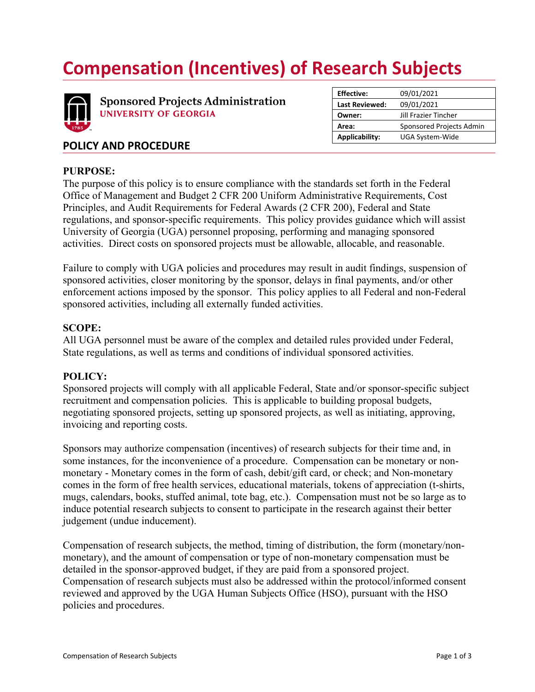# **Compensation (Incentives) of Research Subjects**



**Sponsored Projects Administration UNIVERSITY OF GEORGIA** 

| <b>Effective:</b>     | 09/01/2021               |
|-----------------------|--------------------------|
| <b>Last Reviewed:</b> | 09/01/2021               |
| Owner:                | Jill Frazier Tincher     |
| Area:                 | Sponsored Projects Admin |
| <b>Applicability:</b> | UGA System-Wide          |
|                       |                          |

## **POLICY AND PROCEDURE**

## **PURPOSE:**

The purpose of this policy is to ensure compliance with the standards set forth in the Federal Office of Management and Budget 2 CFR 200 Uniform Administrative Requirements, Cost Principles, and Audit Requirements for Federal Awards (2 CFR 200), Federal and State regulations, and sponsor-specific requirements. This policy provides guidance which will assist University of Georgia (UGA) personnel proposing, performing and managing sponsored activities. Direct costs on sponsored projects must be allowable, allocable, and reasonable.

Failure to comply with UGA policies and procedures may result in audit findings, suspension of sponsored activities, closer monitoring by the sponsor, delays in final payments, and/or other enforcement actions imposed by the sponsor. This policy applies to all Federal and non-Federal sponsored activities, including all externally funded activities.

## **SCOPE:**

All UGA personnel must be aware of the complex and detailed rules provided under Federal, State regulations, as well as terms and conditions of individual sponsored activities.

## **POLICY:**

Sponsored projects will comply with all applicable Federal, State and/or sponsor-specific subject recruitment and compensation policies. This is applicable to building proposal budgets, negotiating sponsored projects, setting up sponsored projects, as well as initiating, approving, invoicing and reporting costs.

Sponsors may authorize compensation (incentives) of research subjects for their time and, in some instances, for the inconvenience of a procedure. Compensation can be monetary or nonmonetary - Monetary comes in the form of cash, debit/gift card, or check; and Non-monetary comes in the form of free health services, educational materials, tokens of appreciation (t-shirts, mugs, calendars, books, stuffed animal, tote bag, etc.). Compensation must not be so large as to induce potential research subjects to consent to participate in the research against their better judgement (undue inducement).

Compensation of research subjects, the method, timing of distribution, the form (monetary/nonmonetary), and the amount of compensation or type of non-monetary compensation must be detailed in the sponsor-approved budget, if they are paid from a sponsored project. Compensation of research subjects must also be addressed within the protocol/informed consent reviewed and approved by the UGA Human Subjects Office (HSO), pursuant with the HSO policies and procedures.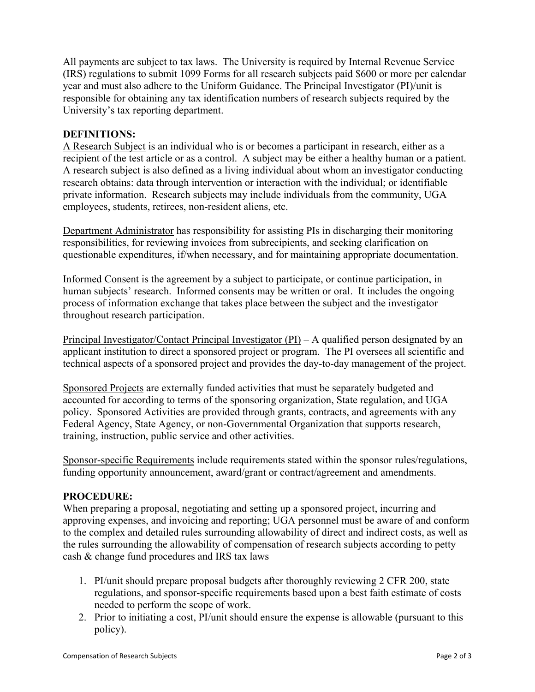All payments are subject to tax laws. The University is required by Internal Revenue Service (IRS) regulations to submit 1099 Forms for all research subjects paid \$600 or more per calendar year and must also adhere to the Uniform Guidance. The Principal Investigator (PI)/unit is responsible for obtaining any tax identification numbers of research subjects required by the University's tax reporting department.

#### **DEFINITIONS:**

A Research Subject is an individual who is or becomes a participant in research, either as a recipient of the test article or as a control. A subject may be either a healthy human or a patient. A research subject is also defined as a living individual about whom an investigator conducting research obtains: data through intervention or interaction with the individual; or identifiable private information. Research subjects may include individuals from the community, UGA employees, students, retirees, non-resident aliens, etc.

Department Administrator has responsibility for assisting PIs in discharging their monitoring responsibilities, for reviewing invoices from subrecipients, and seeking clarification on questionable expenditures, if/when necessary, and for maintaining appropriate documentation.

Informed Consent is the agreement by a subject to participate, or continue participation, in human subjects' research. Informed consents may be written or oral. It includes the ongoing process of information exchange that takes place between the subject and the investigator throughout research participation.

Principal Investigator/Contact Principal Investigator (PI) – A qualified person designated by an applicant institution to direct a sponsored project or program. The PI oversees all scientific and technical aspects of a sponsored project and provides the day-to-day management of the project.

Sponsored Projects are externally funded activities that must be separately budgeted and accounted for according to terms of the sponsoring organization, State regulation, and UGA policy. Sponsored Activities are provided through grants, contracts, and agreements with any Federal Agency, State Agency, or non-Governmental Organization that supports research, training, instruction, public service and other activities.

Sponsor-specific Requirements include requirements stated within the sponsor rules/regulations, funding opportunity announcement, award/grant or contract/agreement and amendments.

#### **PROCEDURE:**

When preparing a proposal, negotiating and setting up a sponsored project, incurring and approving expenses, and invoicing and reporting; UGA personnel must be aware of and conform to the complex and detailed rules surrounding allowability of direct and indirect costs, as well as the rules surrounding the allowability of compensation of research subjects according to petty cash & change fund procedures and IRS tax laws

- 1. PI/unit should prepare proposal budgets after thoroughly reviewing 2 CFR 200, state regulations, and sponsor-specific requirements based upon a best faith estimate of costs needed to perform the scope of work.
- 2. Prior to initiating a cost, PI/unit should ensure the expense is allowable (pursuant to this policy).